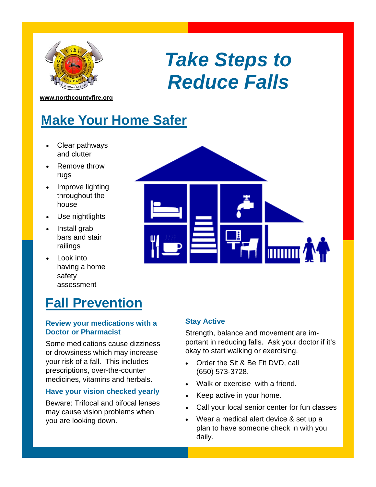

# *Take Steps to Reduce Falls*

**www.northcountyfire.org** 

### **Make Your Home Safer**

- Clear pathways and clutter
- Remove throw rugs
- Improve lighting throughout the house
- Use nightlights
- Install grab bars and stair railings
- Look into having a home safety assessment



#### **Review your medications with a Doctor or Pharmacist**

Some medications cause dizziness or drowsiness which may increase your risk of a fall. This includes prescriptions, over-the-counter medicines, vitamins and herbals.

#### **Have your vision checked yearly**

Beware: Trifocal and bifocal lenses may cause vision problems when you are looking down.

#### **Stay Active**

Strength, balance and movement are important in reducing falls. Ask your doctor if it's okay to start walking or exercising.

- Order the Sit & Be Fit DVD, call (650) 573-3728.
- Walk or exercise with a friend.
- Keep active in your home.
- Call your local senior center for fun classes
- Wear a medical alert device & set up a plan to have someone check in with you daily.